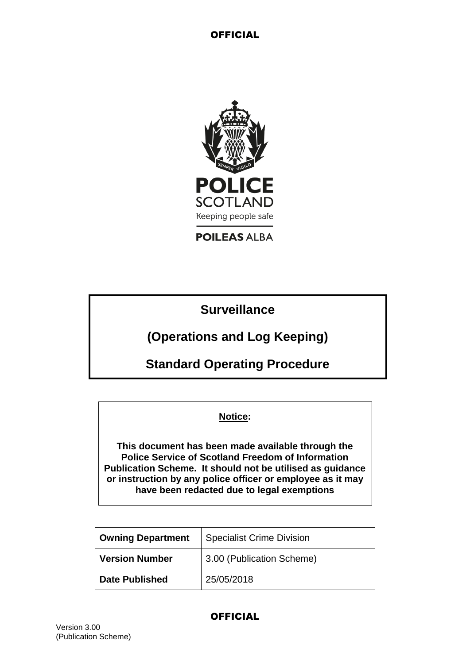

**POILEAS ALBA** 

**Surveillance**

**(Operations and Log Keeping)**

**Standard Operating Procedure**

**Notice:**

**This document has been made available through the Police Service of Scotland Freedom of Information Publication Scheme. It should not be utilised as guidance or instruction by any police officer or employee as it may have been redacted due to legal exemptions**

| <b>Owning Department</b> | <b>Specialist Crime Division</b> |
|--------------------------|----------------------------------|
| <b>Version Number</b>    | 3.00 (Publication Scheme)        |
| <b>Date Published</b>    | 25/05/2018                       |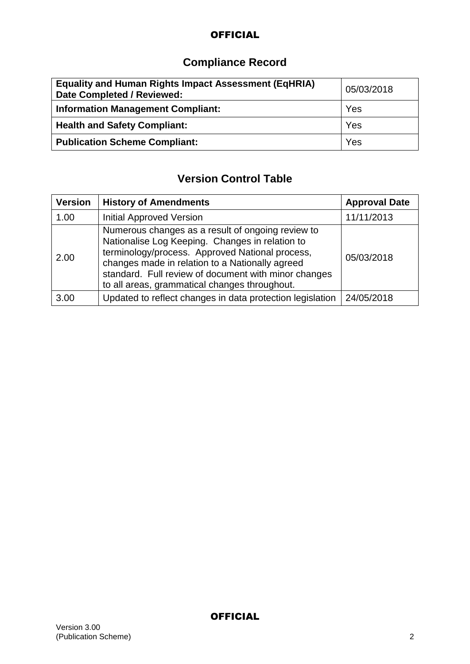# **Compliance Record**

| <b>Equality and Human Rights Impact Assessment (EqHRIA)</b><br>Date Completed / Reviewed: | 05/03/2018 |
|-------------------------------------------------------------------------------------------|------------|
| <b>Information Management Compliant:</b>                                                  | Yes        |
| <b>Health and Safety Compliant:</b>                                                       | Yes        |
| <b>Publication Scheme Compliant:</b>                                                      | Yes        |

# **Version Control Table**

| <b>Version</b> | <b>History of Amendments</b>                                                                                                                                                                                                                                                                                        | <b>Approval Date</b> |
|----------------|---------------------------------------------------------------------------------------------------------------------------------------------------------------------------------------------------------------------------------------------------------------------------------------------------------------------|----------------------|
| 1.00           | <b>Initial Approved Version</b>                                                                                                                                                                                                                                                                                     | 11/11/2013           |
| 2.00           | Numerous changes as a result of ongoing review to<br>Nationalise Log Keeping. Changes in relation to<br>terminology/process. Approved National process,<br>changes made in relation to a Nationally agreed<br>standard. Full review of document with minor changes<br>to all areas, grammatical changes throughout. | 05/03/2018           |
| 3.00           | Updated to reflect changes in data protection legislation                                                                                                                                                                                                                                                           | 24/05/2018           |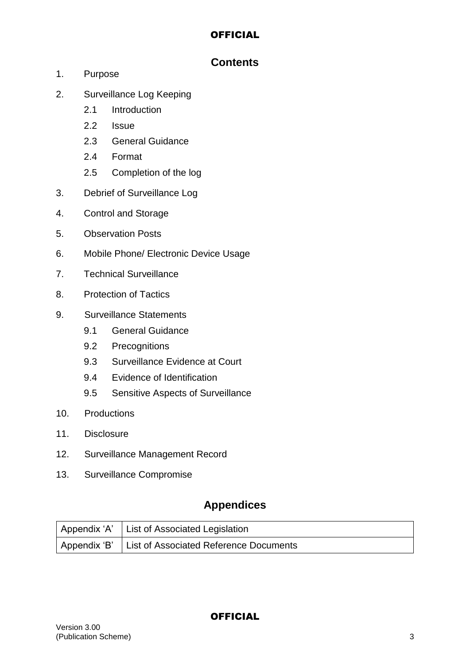# **Contents**

- 1. Purpose
- 2. Surveillance Log Keeping
	- 2.1 Introduction
	- 2.2 Issue
	- 2.3 General Guidance
	- 2.4 Format
	- 2.5 Completion of the log
- 3. Debrief of Surveillance Log
- 4. Control and Storage
- 5. Observation Posts
- 6. Mobile Phone/ Electronic Device Usage
- 7. Technical Surveillance
- 8. Protection of Tactics
- 9. Surveillance Statements
	- 9.1 General Guidance
	- 9.2 Precognitions
	- 9.3 Surveillance Evidence at Court
	- 9.4 Evidence of Identification
	- 9.5 Sensitive Aspects of Surveillance
- 10. Productions
- 11. Disclosure
- 12. Surveillance Management Record
- 13. Surveillance Compromise

# **Appendices**

| Appendix 'A' List of Associated Legislation         |
|-----------------------------------------------------|
| Appendix 'B' List of Associated Reference Documents |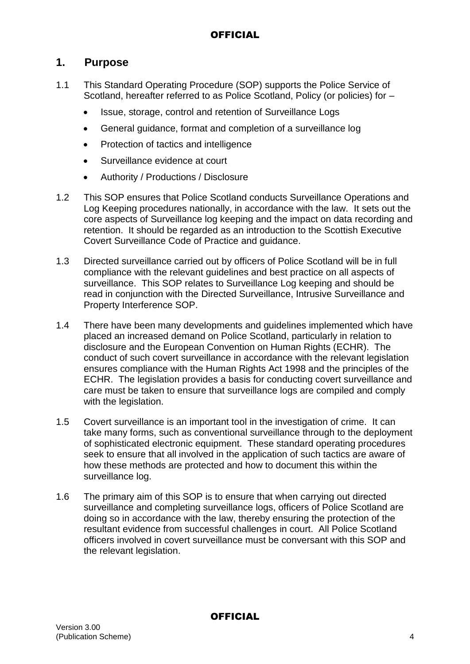# **1. Purpose**

- 1.1 This Standard Operating Procedure (SOP) supports the Police Service of Scotland, hereafter referred to as Police Scotland, Policy (or policies) for  $-$ 
	- Issue, storage, control and retention of Surveillance Logs
	- General guidance, format and completion of a surveillance log
	- Protection of tactics and intelligence
	- Surveillance evidence at court
	- Authority / Productions / Disclosure
- 1.2 This SOP ensures that Police Scotland conducts Surveillance Operations and Log Keeping procedures nationally, in accordance with the law. It sets out the core aspects of Surveillance log keeping and the impact on data recording and retention. It should be regarded as an introduction to the Scottish Executive Covert Surveillance Code of Practice and guidance.
- 1.3 Directed surveillance carried out by officers of Police Scotland will be in full compliance with the relevant guidelines and best practice on all aspects of surveillance. This SOP relates to Surveillance Log keeping and should be read in conjunction with the Directed Surveillance, Intrusive Surveillance and Property Interference SOP.
- 1.4 There have been many developments and guidelines implemented which have placed an increased demand on Police Scotland, particularly in relation to disclosure and the European Convention on Human Rights (ECHR). The conduct of such covert surveillance in accordance with the relevant legislation ensures compliance with the Human Rights Act 1998 and the principles of the ECHR. The legislation provides a basis for conducting covert surveillance and care must be taken to ensure that surveillance logs are compiled and comply with the legislation.
- 1.5 Covert surveillance is an important tool in the investigation of crime. It can take many forms, such as conventional surveillance through to the deployment of sophisticated electronic equipment. These standard operating procedures seek to ensure that all involved in the application of such tactics are aware of how these methods are protected and how to document this within the surveillance log.
- 1.6 The primary aim of this SOP is to ensure that when carrying out directed surveillance and completing surveillance logs, officers of Police Scotland are doing so in accordance with the law, thereby ensuring the protection of the resultant evidence from successful challenges in court. All Police Scotland officers involved in covert surveillance must be conversant with this SOP and the relevant legislation.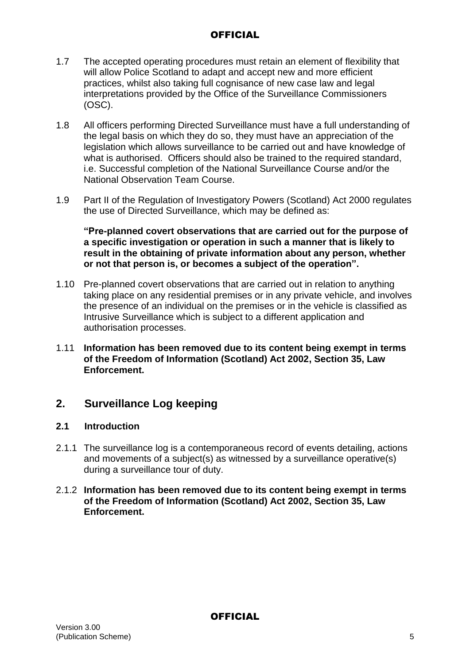- 1.7 The accepted operating procedures must retain an element of flexibility that will allow Police Scotland to adapt and accept new and more efficient practices, whilst also taking full cognisance of new case law and legal interpretations provided by the Office of the Surveillance Commissioners (OSC).
- 1.8 All officers performing Directed Surveillance must have a full understanding of the legal basis on which they do so, they must have an appreciation of the legislation which allows surveillance to be carried out and have knowledge of what is authorised. Officers should also be trained to the required standard, i.e. Successful completion of the National Surveillance Course and/or the National Observation Team Course.
- 1.9 Part II of the Regulation of Investigatory Powers (Scotland) Act 2000 regulates the use of Directed Surveillance, which may be defined as:

**"Pre-planned covert observations that are carried out for the purpose of a specific investigation or operation in such a manner that is likely to result in the obtaining of private information about any person, whether or not that person is, or becomes a subject of the operation".**

- 1.10 Pre-planned covert observations that are carried out in relation to anything taking place on any residential premises or in any private vehicle, and involves the presence of an individual on the premises or in the vehicle is classified as Intrusive Surveillance which is subject to a different application and authorisation processes.
- 1.11 **Information has been removed due to its content being exempt in terms of the Freedom of Information (Scotland) Act 2002, Section 35, Law Enforcement.**

# **2. Surveillance Log keeping**

### **2.1 Introduction**

2.1.1 The surveillance log is a contemporaneous record of events detailing, actions and movements of a subject(s) as witnessed by a surveillance operative(s) during a surveillance tour of duty.

#### 2.1.2 **Information has been removed due to its content being exempt in terms of the Freedom of Information (Scotland) Act 2002, Section 35, Law Enforcement.**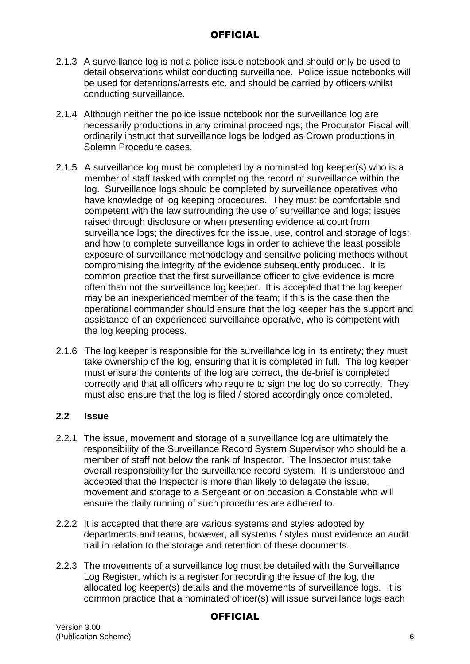- 2.1.3 A surveillance log is not a police issue notebook and should only be used to detail observations whilst conducting surveillance. Police issue notebooks will be used for detentions/arrests etc. and should be carried by officers whilst conducting surveillance.
- 2.1.4 Although neither the police issue notebook nor the surveillance log are necessarily productions in any criminal proceedings; the Procurator Fiscal will ordinarily instruct that surveillance logs be lodged as Crown productions in Solemn Procedure cases.
- 2.1.5 A surveillance log must be completed by a nominated log keeper(s) who is a member of staff tasked with completing the record of surveillance within the log. Surveillance logs should be completed by surveillance operatives who have knowledge of log keeping procedures. They must be comfortable and competent with the law surrounding the use of surveillance and logs; issues raised through disclosure or when presenting evidence at court from surveillance logs; the directives for the issue, use, control and storage of logs; and how to complete surveillance logs in order to achieve the least possible exposure of surveillance methodology and sensitive policing methods without compromising the integrity of the evidence subsequently produced. It is common practice that the first surveillance officer to give evidence is more often than not the surveillance log keeper. It is accepted that the log keeper may be an inexperienced member of the team; if this is the case then the operational commander should ensure that the log keeper has the support and assistance of an experienced surveillance operative, who is competent with the log keeping process.
- 2.1.6 The log keeper is responsible for the surveillance log in its entirety; they must take ownership of the log, ensuring that it is completed in full. The log keeper must ensure the contents of the log are correct, the de-brief is completed correctly and that all officers who require to sign the log do so correctly. They must also ensure that the log is filed / stored accordingly once completed.

### **2.2 Issue**

- 2.2.1 The issue, movement and storage of a surveillance log are ultimately the responsibility of the Surveillance Record System Supervisor who should be a member of staff not below the rank of Inspector. The Inspector must take overall responsibility for the surveillance record system. It is understood and accepted that the Inspector is more than likely to delegate the issue, movement and storage to a Sergeant or on occasion a Constable who will ensure the daily running of such procedures are adhered to.
- 2.2.2 It is accepted that there are various systems and styles adopted by departments and teams, however, all systems / styles must evidence an audit trail in relation to the storage and retention of these documents.
- 2.2.3 The movements of a surveillance log must be detailed with the Surveillance Log Register, which is a register for recording the issue of the log, the allocated log keeper(s) details and the movements of surveillance logs. It is common practice that a nominated officer(s) will issue surveillance logs each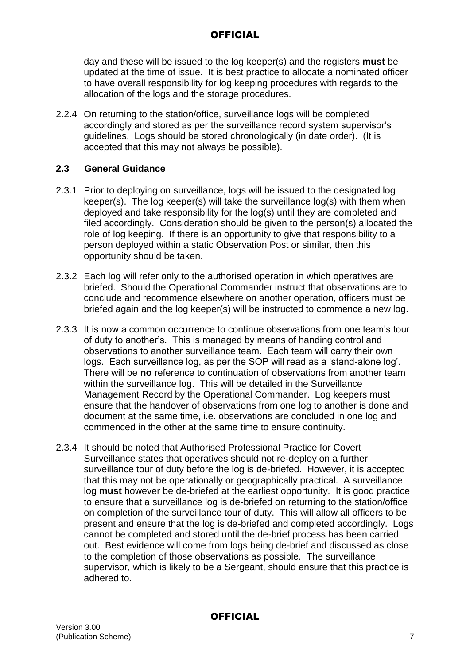day and these will be issued to the log keeper(s) and the registers **must** be updated at the time of issue. It is best practice to allocate a nominated officer to have overall responsibility for log keeping procedures with regards to the allocation of the logs and the storage procedures.

2.2.4 On returning to the station/office, surveillance logs will be completed accordingly and stored as per the surveillance record system supervisor's guidelines. Logs should be stored chronologically (in date order). (It is accepted that this may not always be possible).

#### **2.3 General Guidance**

- 2.3.1 Prior to deploying on surveillance, logs will be issued to the designated log keeper(s). The log keeper(s) will take the surveillance log(s) with them when deployed and take responsibility for the log(s) until they are completed and filed accordingly. Consideration should be given to the person(s) allocated the role of log keeping. If there is an opportunity to give that responsibility to a person deployed within a static Observation Post or similar, then this opportunity should be taken.
- 2.3.2 Each log will refer only to the authorised operation in which operatives are briefed. Should the Operational Commander instruct that observations are to conclude and recommence elsewhere on another operation, officers must be briefed again and the log keeper(s) will be instructed to commence a new log.
- 2.3.3 It is now a common occurrence to continue observations from one team's tour of duty to another's. This is managed by means of handing control and observations to another surveillance team. Each team will carry their own logs. Each surveillance log, as per the SOP will read as a 'stand-alone log'. There will be **no** reference to continuation of observations from another team within the surveillance log. This will be detailed in the Surveillance Management Record by the Operational Commander. Log keepers must ensure that the handover of observations from one log to another is done and document at the same time, i.e. observations are concluded in one log and commenced in the other at the same time to ensure continuity.
- 2.3.4 It should be noted that Authorised Professional Practice for Covert Surveillance states that operatives should not re-deploy on a further surveillance tour of duty before the log is de-briefed. However, it is accepted that this may not be operationally or geographically practical. A surveillance log **must** however be de-briefed at the earliest opportunity. It is good practice to ensure that a surveillance log is de-briefed on returning to the station/office on completion of the surveillance tour of duty. This will allow all officers to be present and ensure that the log is de-briefed and completed accordingly. Logs cannot be completed and stored until the de-brief process has been carried out. Best evidence will come from logs being de-brief and discussed as close to the completion of those observations as possible. The surveillance supervisor, which is likely to be a Sergeant, should ensure that this practice is adhered to.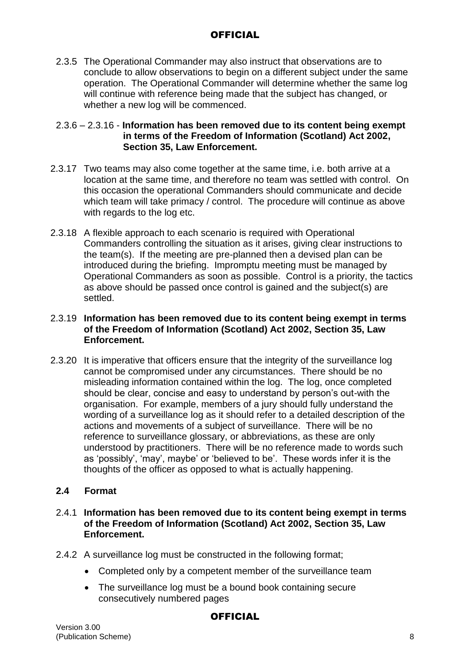2.3.5 The Operational Commander may also instruct that observations are to conclude to allow observations to begin on a different subject under the same operation. The Operational Commander will determine whether the same log will continue with reference being made that the subject has changed, or whether a new log will be commenced.

2.3.6 – 2.3.16 - **Information has been removed due to its content being exempt in terms of the Freedom of Information (Scotland) Act 2002, Section 35, Law Enforcement.**

- 2.3.17 Two teams may also come together at the same time, i.e. both arrive at a location at the same time, and therefore no team was settled with control. On this occasion the operational Commanders should communicate and decide which team will take primacy / control. The procedure will continue as above with regards to the log etc.
- 2.3.18 A flexible approach to each scenario is required with Operational Commanders controlling the situation as it arises, giving clear instructions to the team(s). If the meeting are pre-planned then a devised plan can be introduced during the briefing. Impromptu meeting must be managed by Operational Commanders as soon as possible. Control is a priority, the tactics as above should be passed once control is gained and the subject(s) are settled.

#### 2.3.19 **Information has been removed due to its content being exempt in terms of the Freedom of Information (Scotland) Act 2002, Section 35, Law Enforcement.**

2.3.20 It is imperative that officers ensure that the integrity of the surveillance log cannot be compromised under any circumstances. There should be no misleading information contained within the log. The log, once completed should be clear, concise and easy to understand by person's out-with the organisation. For example, members of a jury should fully understand the wording of a surveillance log as it should refer to a detailed description of the actions and movements of a subject of surveillance. There will be no reference to surveillance glossary, or abbreviations, as these are only understood by practitioners. There will be no reference made to words such as 'possibly', 'may', maybe' or 'believed to be'. These words infer it is the thoughts of the officer as opposed to what is actually happening.

### **2.4 Format**

#### 2.4.1 **Information has been removed due to its content being exempt in terms of the Freedom of Information (Scotland) Act 2002, Section 35, Law Enforcement.**

- 2.4.2 A surveillance log must be constructed in the following format;
	- Completed only by a competent member of the surveillance team
	- The surveillance log must be a bound book containing secure consecutively numbered pages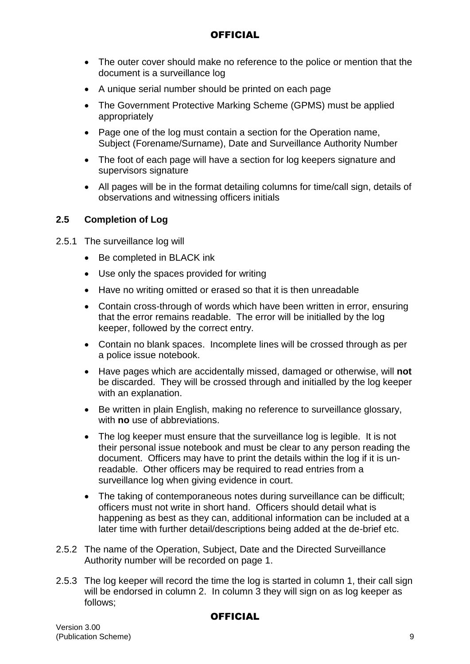- The outer cover should make no reference to the police or mention that the document is a surveillance log
- A unique serial number should be printed on each page
- The Government Protective Marking Scheme (GPMS) must be applied appropriately
- Page one of the log must contain a section for the Operation name, Subject (Forename/Surname), Date and Surveillance Authority Number
- The foot of each page will have a section for log keepers signature and supervisors signature
- All pages will be in the format detailing columns for time/call sign, details of observations and witnessing officers initials

### **2.5 Completion of Log**

- 2.5.1 The surveillance log will
	- Be completed in BLACK ink
	- Use only the spaces provided for writing
	- Have no writing omitted or erased so that it is then unreadable
	- Contain cross-through of words which have been written in error, ensuring that the error remains readable. The error will be initialled by the log keeper, followed by the correct entry.
	- Contain no blank spaces. Incomplete lines will be crossed through as per a police issue notebook.
	- Have pages which are accidentally missed, damaged or otherwise, will **not** be discarded. They will be crossed through and initialled by the log keeper with an explanation.
	- Be written in plain English, making no reference to surveillance glossary, with **no** use of abbreviations.
	- The log keeper must ensure that the surveillance log is legible. It is not their personal issue notebook and must be clear to any person reading the document. Officers may have to print the details within the log if it is unreadable. Other officers may be required to read entries from a surveillance log when giving evidence in court.
	- The taking of contemporaneous notes during surveillance can be difficult; officers must not write in short hand. Officers should detail what is happening as best as they can, additional information can be included at a later time with further detail/descriptions being added at the de-brief etc.
- 2.5.2 The name of the Operation, Subject, Date and the Directed Surveillance Authority number will be recorded on page 1.
- 2.5.3 The log keeper will record the time the log is started in column 1, their call sign will be endorsed in column 2. In column 3 they will sign on as log keeper as follows;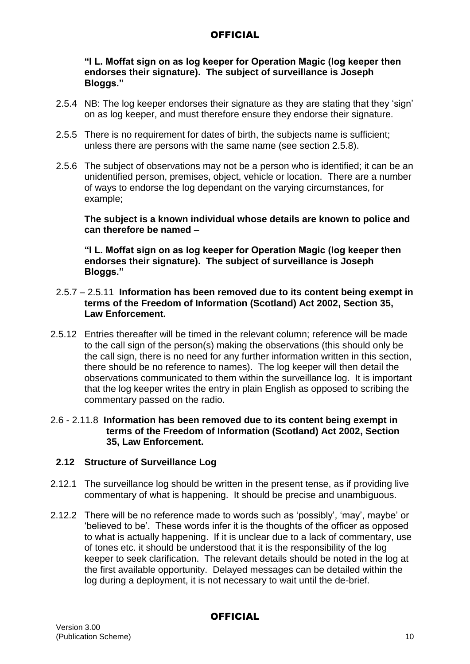**"I L. Moffat sign on as log keeper for Operation Magic (log keeper then endorses their signature). The subject of surveillance is Joseph Bloggs."**

- 2.5.4 NB: The log keeper endorses their signature as they are stating that they 'sign' on as log keeper, and must therefore ensure they endorse their signature.
- 2.5.5 There is no requirement for dates of birth, the subjects name is sufficient; unless there are persons with the same name (see section 2.5.8).
- 2.5.6 The subject of observations may not be a person who is identified; it can be an unidentified person, premises, object, vehicle or location. There are a number of ways to endorse the log dependant on the varying circumstances, for example;

**The subject is a known individual whose details are known to police and can therefore be named –**

**"I L. Moffat sign on as log keeper for Operation Magic (log keeper then endorses their signature). The subject of surveillance is Joseph Bloggs."**

- 2.5.7 2.5.11 **Information has been removed due to its content being exempt in terms of the Freedom of Information (Scotland) Act 2002, Section 35, Law Enforcement.**
- 2.5.12 Entries thereafter will be timed in the relevant column; reference will be made to the call sign of the person(s) making the observations (this should only be the call sign, there is no need for any further information written in this section, there should be no reference to names). The log keeper will then detail the observations communicated to them within the surveillance log. It is important that the log keeper writes the entry in plain English as opposed to scribing the commentary passed on the radio.

#### 2.6 - 2.11.8 **Information has been removed due to its content being exempt in terms of the Freedom of Information (Scotland) Act 2002, Section 35, Law Enforcement.**

#### **2.12 Structure of Surveillance Log**

- 2.12.1 The surveillance log should be written in the present tense, as if providing live commentary of what is happening. It should be precise and unambiguous.
- 2.12.2 There will be no reference made to words such as 'possibly', 'may', maybe' or 'believed to be'. These words infer it is the thoughts of the officer as opposed to what is actually happening. If it is unclear due to a lack of commentary, use of tones etc. it should be understood that it is the responsibility of the log keeper to seek clarification. The relevant details should be noted in the log at the first available opportunity. Delayed messages can be detailed within the log during a deployment, it is not necessary to wait until the de-brief.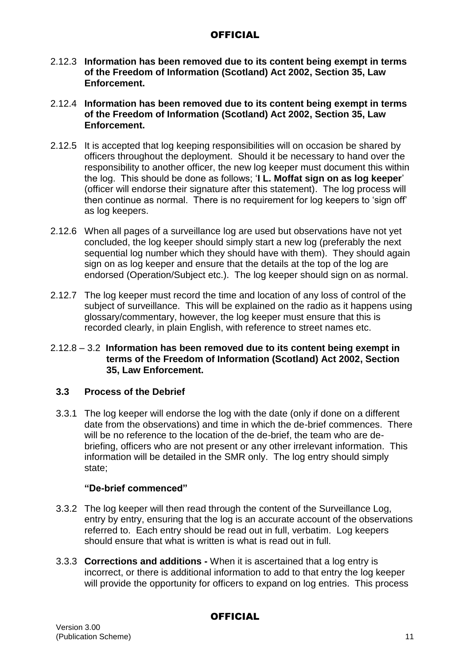- 2.12.3 **Information has been removed due to its content being exempt in terms of the Freedom of Information (Scotland) Act 2002, Section 35, Law Enforcement.**
- 2.12.4 **Information has been removed due to its content being exempt in terms of the Freedom of Information (Scotland) Act 2002, Section 35, Law Enforcement.**
- 2.12.5 It is accepted that log keeping responsibilities will on occasion be shared by officers throughout the deployment. Should it be necessary to hand over the responsibility to another officer, the new log keeper must document this within the log. This should be done as follows; '**I L. Moffat sign on as log keeper**' (officer will endorse their signature after this statement). The log process will then continue as normal. There is no requirement for log keepers to 'sign off' as log keepers.
- 2.12.6 When all pages of a surveillance log are used but observations have not yet concluded, the log keeper should simply start a new log (preferably the next sequential log number which they should have with them). They should again sign on as log keeper and ensure that the details at the top of the log are endorsed (Operation/Subject etc.). The log keeper should sign on as normal.
- 2.12.7 The log keeper must record the time and location of any loss of control of the subject of surveillance. This will be explained on the radio as it happens using glossary/commentary, however, the log keeper must ensure that this is recorded clearly, in plain English, with reference to street names etc.

#### 2.12.8 – 3.2 **Information has been removed due to its content being exempt in terms of the Freedom of Information (Scotland) Act 2002, Section 35, Law Enforcement.**

### **3.3 Process of the Debrief**

3.3.1 The log keeper will endorse the log with the date (only if done on a different date from the observations) and time in which the de-brief commences. There will be no reference to the location of the de-brief, the team who are debriefing, officers who are not present or any other irrelevant information. This information will be detailed in the SMR only. The log entry should simply state;

### **"De-brief commenced"**

- 3.3.2 The log keeper will then read through the content of the Surveillance Log, entry by entry, ensuring that the log is an accurate account of the observations referred to. Each entry should be read out in full, verbatim. Log keepers should ensure that what is written is what is read out in full.
- 3.3.3 **Corrections and additions -** When it is ascertained that a log entry is incorrect, or there is additional information to add to that entry the log keeper will provide the opportunity for officers to expand on log entries. This process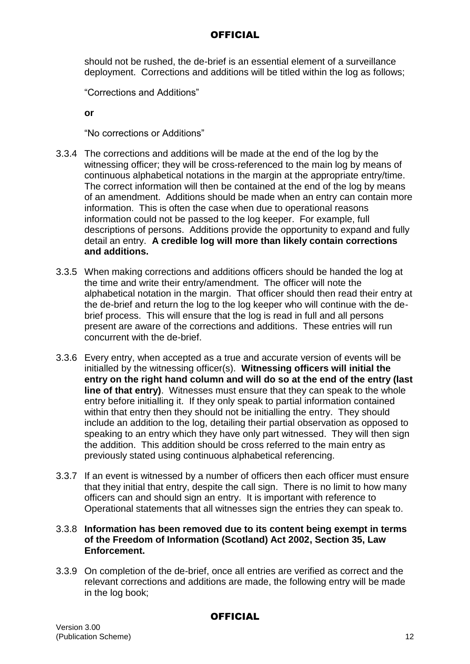should not be rushed, the de-brief is an essential element of a surveillance deployment. Corrections and additions will be titled within the log as follows;

"Corrections and Additions"

**or**

"No corrections or Additions"

- 3.3.4 The corrections and additions will be made at the end of the log by the witnessing officer; they will be cross-referenced to the main log by means of continuous alphabetical notations in the margin at the appropriate entry/time. The correct information will then be contained at the end of the log by means of an amendment. Additions should be made when an entry can contain more information. This is often the case when due to operational reasons information could not be passed to the log keeper. For example, full descriptions of persons. Additions provide the opportunity to expand and fully detail an entry. **A credible log will more than likely contain corrections and additions.**
- 3.3.5 When making corrections and additions officers should be handed the log at the time and write their entry/amendment. The officer will note the alphabetical notation in the margin. That officer should then read their entry at the de-brief and return the log to the log keeper who will continue with the debrief process. This will ensure that the log is read in full and all persons present are aware of the corrections and additions. These entries will run concurrent with the de-brief.
- 3.3.6 Every entry, when accepted as a true and accurate version of events will be initialled by the witnessing officer(s). **Witnessing officers will initial the entry on the right hand column and will do so at the end of the entry (last line of that entry)**. Witnesses must ensure that they can speak to the whole entry before initialling it. If they only speak to partial information contained within that entry then they should not be initialling the entry. They should include an addition to the log, detailing their partial observation as opposed to speaking to an entry which they have only part witnessed. They will then sign the addition. This addition should be cross referred to the main entry as previously stated using continuous alphabetical referencing.
- 3.3.7 If an event is witnessed by a number of officers then each officer must ensure that they initial that entry, despite the call sign. There is no limit to how many officers can and should sign an entry. It is important with reference to Operational statements that all witnesses sign the entries they can speak to.

### 3.3.8 **Information has been removed due to its content being exempt in terms of the Freedom of Information (Scotland) Act 2002, Section 35, Law Enforcement.**

3.3.9 On completion of the de-brief, once all entries are verified as correct and the relevant corrections and additions are made, the following entry will be made in the log book;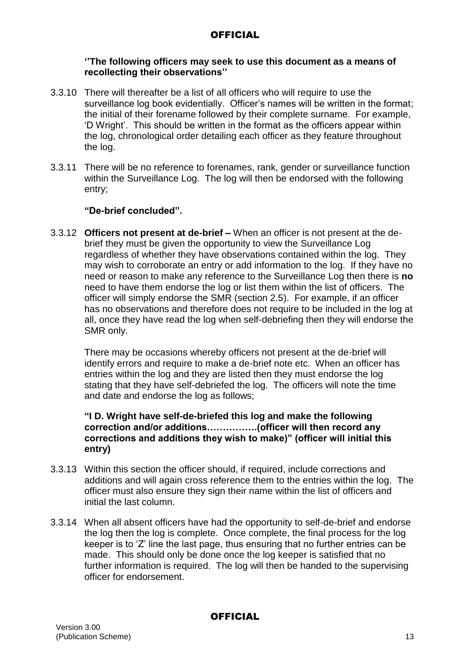#### **''The following officers may seek to use this document as a means of recollecting their observations''**

- 3.3.10 There will thereafter be a list of all officers who will require to use the surveillance log book evidentially. Officer's names will be written in the format; the initial of their forename followed by their complete surname. For example, 'D Wright'. This should be written in the format as the officers appear within the log, chronological order detailing each officer as they feature throughout the log.
- 3.3.11 There will be no reference to forenames, rank, gender or surveillance function within the Surveillance Log. The log will then be endorsed with the following entry;

### **"De-brief concluded".**

3.3.12 **Officers not present at de-brief –** When an officer is not present at the debrief they must be given the opportunity to view the Surveillance Log regardless of whether they have observations contained within the log. They may wish to corroborate an entry or add information to the log. If they have no need or reason to make any reference to the Surveillance Log then there is **no** need to have them endorse the log or list them within the list of officers. The officer will simply endorse the SMR (section 2.5). For example, if an officer has no observations and therefore does not require to be included in the log at all, once they have read the log when self-debriefing then they will endorse the SMR only.

There may be occasions whereby officers not present at the de-brief will identify errors and require to make a de-brief note etc. When an officer has entries within the log and they are listed then they must endorse the log stating that they have self-debriefed the log. The officers will note the time and date and endorse the log as follows;

#### **"I D. Wright have self-de-briefed this log and make the following correction and/or additions…………….(officer will then record any corrections and additions they wish to make)" (officer will initial this entry)**

- 3.3.13 Within this section the officer should, if required, include corrections and additions and will again cross reference them to the entries within the log. The officer must also ensure they sign their name within the list of officers and initial the last column.
- 3.3.14 When all absent officers have had the opportunity to self-de-brief and endorse the log then the log is complete. Once complete, the final process for the log keeper is to 'Z' line the last page, thus ensuring that no further entries can be made. This should only be done once the log keeper is satisfied that no further information is required. The log will then be handed to the supervising officer for endorsement.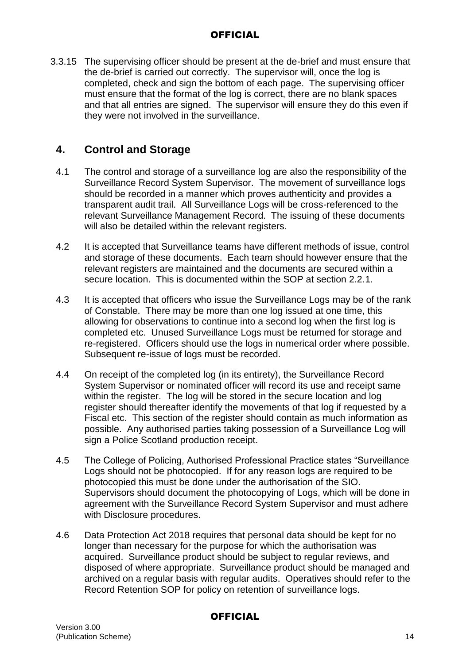3.3.15 The supervising officer should be present at the de-brief and must ensure that the de-brief is carried out correctly. The supervisor will, once the log is completed, check and sign the bottom of each page. The supervising officer must ensure that the format of the log is correct, there are no blank spaces and that all entries are signed. The supervisor will ensure they do this even if they were not involved in the surveillance.

# **4. Control and Storage**

- 4.1 The control and storage of a surveillance log are also the responsibility of the Surveillance Record System Supervisor. The movement of surveillance logs should be recorded in a manner which proves authenticity and provides a transparent audit trail. All Surveillance Logs will be cross-referenced to the relevant Surveillance Management Record. The issuing of these documents will also be detailed within the relevant registers.
- 4.2 It is accepted that Surveillance teams have different methods of issue, control and storage of these documents. Each team should however ensure that the relevant registers are maintained and the documents are secured within a secure location. This is documented within the SOP at section 2.2.1.
- 4.3 It is accepted that officers who issue the Surveillance Logs may be of the rank of Constable. There may be more than one log issued at one time, this allowing for observations to continue into a second log when the first log is completed etc. Unused Surveillance Logs must be returned for storage and re-registered. Officers should use the logs in numerical order where possible. Subsequent re-issue of logs must be recorded.
- 4.4 On receipt of the completed log (in its entirety), the Surveillance Record System Supervisor or nominated officer will record its use and receipt same within the register. The log will be stored in the secure location and log register should thereafter identify the movements of that log if requested by a Fiscal etc. This section of the register should contain as much information as possible. Any authorised parties taking possession of a Surveillance Log will sign a Police Scotland production receipt.
- 4.5 The College of Policing, Authorised Professional Practice states "Surveillance Logs should not be photocopied. If for any reason logs are required to be photocopied this must be done under the authorisation of the SIO. Supervisors should document the photocopying of Logs, which will be done in agreement with the Surveillance Record System Supervisor and must adhere with Disclosure procedures.
- 4.6 Data Protection Act 2018 requires that personal data should be kept for no longer than necessary for the purpose for which the authorisation was acquired. Surveillance product should be subject to regular reviews, and disposed of where appropriate. Surveillance product should be managed and archived on a regular basis with regular audits. Operatives should refer to the Record Retention SOP for policy on retention of surveillance logs.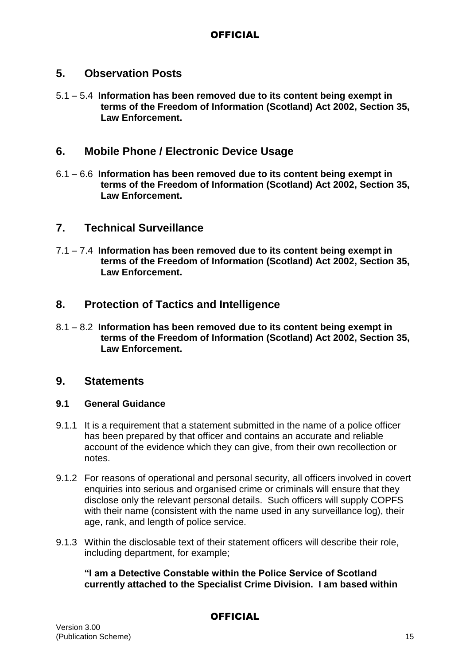# **5. Observation Posts**

5.1 – 5.4 **Information has been removed due to its content being exempt in terms of the Freedom of Information (Scotland) Act 2002, Section 35, Law Enforcement.**

# **6. Mobile Phone / Electronic Device Usage**

6.1 – 6.6 **Information has been removed due to its content being exempt in terms of the Freedom of Information (Scotland) Act 2002, Section 35, Law Enforcement.**

# **7. Technical Surveillance**

7.1 – 7.4 **Information has been removed due to its content being exempt in terms of the Freedom of Information (Scotland) Act 2002, Section 35, Law Enforcement.**

# **8. Protection of Tactics and Intelligence**

8.1 – 8.2 **Information has been removed due to its content being exempt in terms of the Freedom of Information (Scotland) Act 2002, Section 35, Law Enforcement.**

### **9. Statements**

#### **9.1 General Guidance**

- 9.1.1 It is a requirement that a statement submitted in the name of a police officer has been prepared by that officer and contains an accurate and reliable account of the evidence which they can give, from their own recollection or notes.
- 9.1.2 For reasons of operational and personal security, all officers involved in covert enquiries into serious and organised crime or criminals will ensure that they disclose only the relevant personal details. Such officers will supply COPFS with their name (consistent with the name used in any surveillance log), their age, rank, and length of police service.
- 9.1.3 Within the disclosable text of their statement officers will describe their role, including department, for example;

**"I am a Detective Constable within the Police Service of Scotland currently attached to the Specialist Crime Division. I am based within**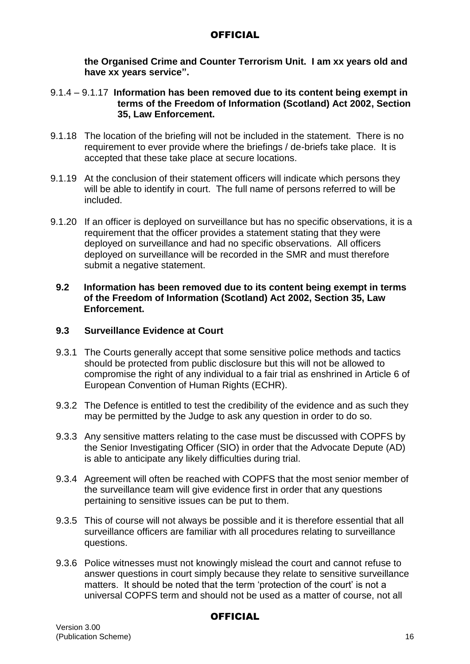**the Organised Crime and Counter Terrorism Unit. I am xx years old and have xx years service".**

- 9.1.4 9.1.17 **Information has been removed due to its content being exempt in terms of the Freedom of Information (Scotland) Act 2002, Section 35, Law Enforcement.**
- 9.1.18 The location of the briefing will not be included in the statement. There is no requirement to ever provide where the briefings / de-briefs take place. It is accepted that these take place at secure locations.
- 9.1.19 At the conclusion of their statement officers will indicate which persons they will be able to identify in court. The full name of persons referred to will be included.
- 9.1.20 If an officer is deployed on surveillance but has no specific observations, it is a requirement that the officer provides a statement stating that they were deployed on surveillance and had no specific observations. All officers deployed on surveillance will be recorded in the SMR and must therefore submit a negative statement.

#### **9.2 Information has been removed due to its content being exempt in terms of the Freedom of Information (Scotland) Act 2002, Section 35, Law Enforcement.**

### **9.3 Surveillance Evidence at Court**

- 9.3.1 The Courts generally accept that some sensitive police methods and tactics should be protected from public disclosure but this will not be allowed to compromise the right of any individual to a fair trial as enshrined in Article 6 of European Convention of Human Rights (ECHR).
- 9.3.2 The Defence is entitled to test the credibility of the evidence and as such they may be permitted by the Judge to ask any question in order to do so.
- 9.3.3 Any sensitive matters relating to the case must be discussed with COPFS by the Senior Investigating Officer (SIO) in order that the Advocate Depute (AD) is able to anticipate any likely difficulties during trial.
- 9.3.4 Agreement will often be reached with COPFS that the most senior member of the surveillance team will give evidence first in order that any questions pertaining to sensitive issues can be put to them.
- 9.3.5 This of course will not always be possible and it is therefore essential that all surveillance officers are familiar with all procedures relating to surveillance questions.
- 9.3.6 Police witnesses must not knowingly mislead the court and cannot refuse to answer questions in court simply because they relate to sensitive surveillance matters. It should be noted that the term 'protection of the court' is not a universal COPFS term and should not be used as a matter of course, not all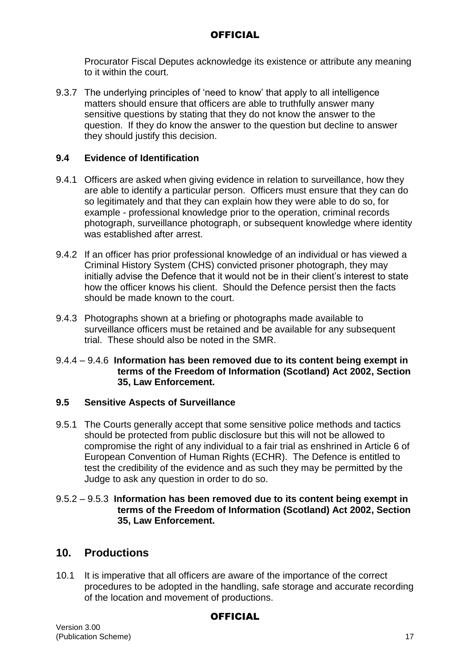Procurator Fiscal Deputes acknowledge its existence or attribute any meaning to it within the court.

9.3.7 The underlying principles of 'need to know' that apply to all intelligence matters should ensure that officers are able to truthfully answer many sensitive questions by stating that they do not know the answer to the question. If they do know the answer to the question but decline to answer they should justify this decision.

### **9.4 Evidence of Identification**

- 9.4.1 Officers are asked when giving evidence in relation to surveillance, how they are able to identify a particular person. Officers must ensure that they can do so legitimately and that they can explain how they were able to do so, for example - professional knowledge prior to the operation, criminal records photograph, surveillance photograph, or subsequent knowledge where identity was established after arrest.
- 9.4.2 If an officer has prior professional knowledge of an individual or has viewed a Criminal History System (CHS) convicted prisoner photograph, they may initially advise the Defence that it would not be in their client's interest to state how the officer knows his client. Should the Defence persist then the facts should be made known to the court.
- 9.4.3 Photographs shown at a briefing or photographs made available to surveillance officers must be retained and be available for any subsequent trial. These should also be noted in the SMR.

#### 9.4.4 – 9.4.6 **Information has been removed due to its content being exempt in terms of the Freedom of Information (Scotland) Act 2002, Section 35, Law Enforcement.**

#### **9.5 Sensitive Aspects of Surveillance**

9.5.1 The Courts generally accept that some sensitive police methods and tactics should be protected from public disclosure but this will not be allowed to compromise the right of any individual to a fair trial as enshrined in Article 6 of European Convention of Human Rights (ECHR). The Defence is entitled to test the credibility of the evidence and as such they may be permitted by the Judge to ask any question in order to do so.

#### 9.5.2 – 9.5.3 **Information has been removed due to its content being exempt in terms of the Freedom of Information (Scotland) Act 2002, Section 35, Law Enforcement.**

# **10. Productions**

10.1 It is imperative that all officers are aware of the importance of the correct procedures to be adopted in the handling, safe storage and accurate recording of the location and movement of productions.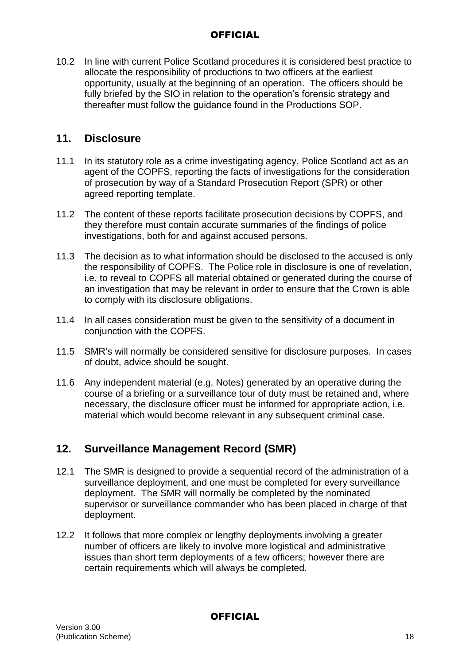10.2 In line with current Police Scotland procedures it is considered best practice to allocate the responsibility of productions to two officers at the earliest opportunity, usually at the beginning of an operation. The officers should be fully briefed by the SIO in relation to the operation's forensic strategy and thereafter must follow the guidance found in the Productions SOP.

# **11. Disclosure**

- 11.1 In its statutory role as a crime investigating agency, Police Scotland act as an agent of the COPFS, reporting the facts of investigations for the consideration of prosecution by way of a Standard Prosecution Report (SPR) or other agreed reporting template.
- 11.2 The content of these reports facilitate prosecution decisions by COPFS, and they therefore must contain accurate summaries of the findings of police investigations, both for and against accused persons.
- 11.3 The decision as to what information should be disclosed to the accused is only the responsibility of COPFS. The Police role in disclosure is one of revelation, i.e. to reveal to COPFS all material obtained or generated during the course of an investigation that may be relevant in order to ensure that the Crown is able to comply with its disclosure obligations.
- 11.4 In all cases consideration must be given to the sensitivity of a document in conjunction with the COPFS.
- 11.5 SMR's will normally be considered sensitive for disclosure purposes. In cases of doubt, advice should be sought.
- 11.6 Any independent material (e.g. Notes) generated by an operative during the course of a briefing or a surveillance tour of duty must be retained and, where necessary, the disclosure officer must be informed for appropriate action, i.e. material which would become relevant in any subsequent criminal case.

# **12. Surveillance Management Record (SMR)**

- 12.1 The SMR is designed to provide a sequential record of the administration of a surveillance deployment, and one must be completed for every surveillance deployment. The SMR will normally be completed by the nominated supervisor or surveillance commander who has been placed in charge of that deployment.
- 12.2 It follows that more complex or lengthy deployments involving a greater number of officers are likely to involve more logistical and administrative issues than short term deployments of a few officers; however there are certain requirements which will always be completed.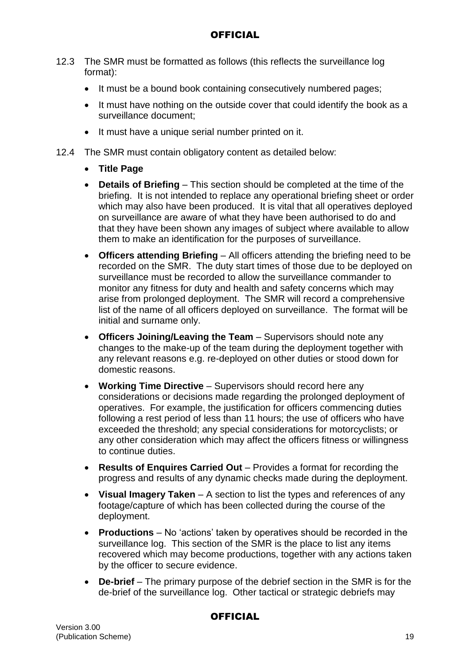- 12.3 The SMR must be formatted as follows (this reflects the surveillance log format):
	- It must be a bound book containing consecutively numbered pages;
	- It must have nothing on the outside cover that could identify the book as a surveillance document;
	- It must have a unique serial number printed on it.
- 12.4 The SMR must contain obligatory content as detailed below:
	- **Title Page**
	- **Details of Briefing** This section should be completed at the time of the briefing. It is not intended to replace any operational briefing sheet or order which may also have been produced. It is vital that all operatives deployed on surveillance are aware of what they have been authorised to do and that they have been shown any images of subject where available to allow them to make an identification for the purposes of surveillance.
	- **Officers attending Briefing** All officers attending the briefing need to be recorded on the SMR. The duty start times of those due to be deployed on surveillance must be recorded to allow the surveillance commander to monitor any fitness for duty and health and safety concerns which may arise from prolonged deployment. The SMR will record a comprehensive list of the name of all officers deployed on surveillance. The format will be initial and surname only.
	- **Officers Joining/Leaving the Team** Supervisors should note any changes to the make-up of the team during the deployment together with any relevant reasons e.g. re-deployed on other duties or stood down for domestic reasons.
	- **Working Time Directive** Supervisors should record here any considerations or decisions made regarding the prolonged deployment of operatives. For example, the justification for officers commencing duties following a rest period of less than 11 hours; the use of officers who have exceeded the threshold; any special considerations for motorcyclists; or any other consideration which may affect the officers fitness or willingness to continue duties.
	- **Results of Enquires Carried Out** Provides a format for recording the progress and results of any dynamic checks made during the deployment.
	- **Visual Imagery Taken**  A section to list the types and references of any footage/capture of which has been collected during the course of the deployment.
	- **Productions** No 'actions' taken by operatives should be recorded in the surveillance log. This section of the SMR is the place to list any items recovered which may become productions, together with any actions taken by the officer to secure evidence.
	- **De-brief** The primary purpose of the debrief section in the SMR is for the de-brief of the surveillance log. Other tactical or strategic debriefs may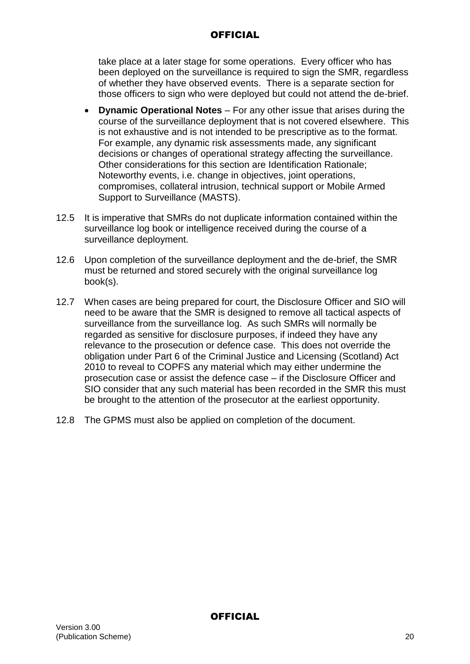take place at a later stage for some operations. Every officer who has been deployed on the surveillance is required to sign the SMR, regardless of whether they have observed events. There is a separate section for those officers to sign who were deployed but could not attend the de-brief.

- **Dynamic Operational Notes** For any other issue that arises during the course of the surveillance deployment that is not covered elsewhere. This is not exhaustive and is not intended to be prescriptive as to the format. For example, any dynamic risk assessments made, any significant decisions or changes of operational strategy affecting the surveillance. Other considerations for this section are Identification Rationale; Noteworthy events, i.e. change in objectives, joint operations, compromises, collateral intrusion, technical support or Mobile Armed Support to Surveillance (MASTS).
- 12.5 It is imperative that SMRs do not duplicate information contained within the surveillance log book or intelligence received during the course of a surveillance deployment.
- 12.6 Upon completion of the surveillance deployment and the de-brief, the SMR must be returned and stored securely with the original surveillance log book(s).
- 12.7 When cases are being prepared for court, the Disclosure Officer and SIO will need to be aware that the SMR is designed to remove all tactical aspects of surveillance from the surveillance log. As such SMRs will normally be regarded as sensitive for disclosure purposes, if indeed they have any relevance to the prosecution or defence case. This does not override the obligation under Part 6 of the Criminal Justice and Licensing (Scotland) Act 2010 to reveal to COPFS any material which may either undermine the prosecution case or assist the defence case – if the Disclosure Officer and SIO consider that any such material has been recorded in the SMR this must be brought to the attention of the prosecutor at the earliest opportunity.
- 12.8 The GPMS must also be applied on completion of the document.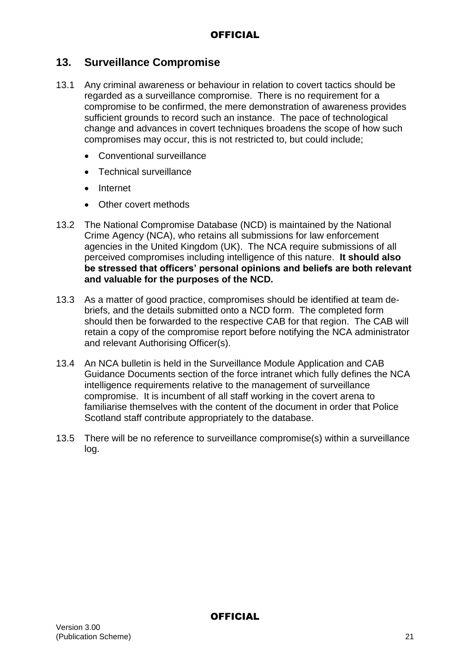# **13. Surveillance Compromise**

- 13.1 Any criminal awareness or behaviour in relation to covert tactics should be regarded as a surveillance compromise. There is no requirement for a compromise to be confirmed, the mere demonstration of awareness provides sufficient grounds to record such an instance. The pace of technological change and advances in covert techniques broadens the scope of how such compromises may occur, this is not restricted to, but could include;
	- Conventional surveillance
	- Technical surveillance
	- Internet
	- Other covert methods
- 13.2 The National Compromise Database (NCD) is maintained by the National Crime Agency (NCA), who retains all submissions for law enforcement agencies in the United Kingdom (UK). The NCA require submissions of all perceived compromises including intelligence of this nature. **It should also be stressed that officers' personal opinions and beliefs are both relevant and valuable for the purposes of the NCD.**
- 13.3 As a matter of good practice, compromises should be identified at team debriefs, and the details submitted onto a NCD form. The completed form should then be forwarded to the respective CAB for that region. The CAB will retain a copy of the compromise report before notifying the NCA administrator and relevant Authorising Officer(s).
- 13.4 An NCA bulletin is held in the Surveillance Module Application and CAB Guidance Documents section of the force intranet which fully defines the NCA intelligence requirements relative to the management of surveillance compromise. It is incumbent of all staff working in the covert arena to familiarise themselves with the content of the document in order that Police Scotland staff contribute appropriately to the database.
- 13.5 There will be no reference to surveillance compromise(s) within a surveillance log.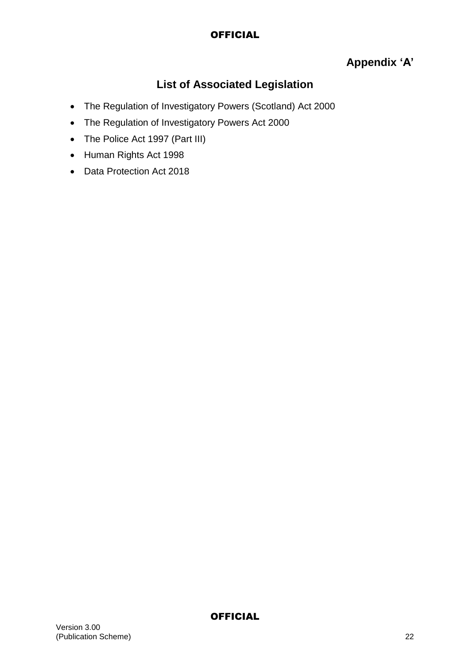# **Appendix 'A'**

# **List of Associated Legislation**

- The Regulation of Investigatory Powers (Scotland) Act 2000
- The Regulation of Investigatory Powers Act 2000
- The Police Act 1997 (Part III)
- Human Rights Act 1998
- Data Protection Act 2018